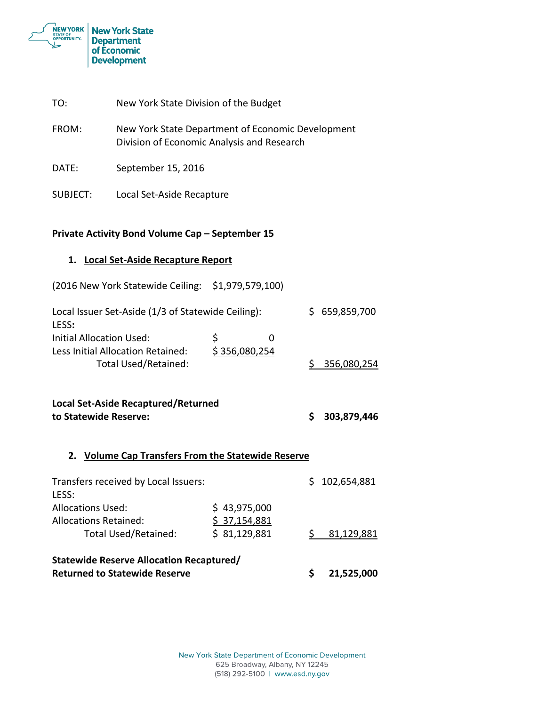

| TO:                                                                        | New York State Division of the Budget              |                                                                                                 |  |               |  |  |
|----------------------------------------------------------------------------|----------------------------------------------------|-------------------------------------------------------------------------------------------------|--|---------------|--|--|
| FROM:                                                                      |                                                    | New York State Department of Economic Development<br>Division of Economic Analysis and Research |  |               |  |  |
| DATE:                                                                      | September 15, 2016                                 |                                                                                                 |  |               |  |  |
| SUBJECT:                                                                   | Local Set-Aside Recapture                          |                                                                                                 |  |               |  |  |
|                                                                            | Private Activity Bond Volume Cap - September 15    |                                                                                                 |  |               |  |  |
| 1. Local Set-Aside Recapture Report                                        |                                                    |                                                                                                 |  |               |  |  |
|                                                                            | (2016 New York Statewide Ceiling: \$1,979,579,100) |                                                                                                 |  |               |  |  |
| Local Issuer Set-Aside (1/3 of Statewide Ceiling):<br>LESS:                |                                                    |                                                                                                 |  | \$659,859,700 |  |  |
| <b>Initial Allocation Used:</b>                                            |                                                    | \$<br>0                                                                                         |  |               |  |  |
| Less Initial Allocation Retained:<br>\$356,080,254<br>Total Used/Retained: |                                                    |                                                                                                 |  | \$356,080,254 |  |  |
|                                                                            |                                                    |                                                                                                 |  |               |  |  |
| <b>Local Set-Aside Recaptured/Returned</b><br>to Statewide Reserve:        |                                                    |                                                                                                 |  | 303,879,446   |  |  |
| <b>Volume Cap Transfers From the Statewide Reserve</b><br>2.               |                                                    |                                                                                                 |  |               |  |  |

| Statewide Reserve Allocation Recaptured/<br><b>Returned to Statewide Reserve</b> |              |               |
|----------------------------------------------------------------------------------|--------------|---------------|
| \$37,154,881<br>\$31,129,881                                                     |              | 81,129,881    |
|                                                                                  |              | \$102,654,881 |
|                                                                                  | \$43,975,000 |               |